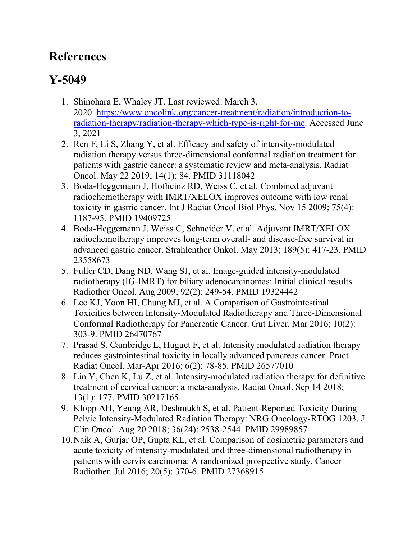## **References**

## **Y-5049**

- 1. Shinohara E, Whaley JT. Last reviewed: March 3, 2020. [https://www.oncolink.org/cancer-treatment/radiation/introduction-to](https://www.oncolink.org/cancer-treatment/radiation/introduction-to-radiation-therapy/radiation-therapy-which-type-is-right-for-me)[radiation-therapy/radiation-therapy-which-type-is-right-for-me.](https://www.oncolink.org/cancer-treatment/radiation/introduction-to-radiation-therapy/radiation-therapy-which-type-is-right-for-me) Accessed June 3, 2021
- 2. Ren F, Li S, Zhang Y, et al. Efficacy and safety of intensity-modulated radiation therapy versus three-dimensional conformal radiation treatment for patients with gastric cancer: a systematic review and meta-analysis. Radiat Oncol. May 22 2019; 14(1): 84. PMID 31118042
- 3. Boda-Heggemann J, Hofheinz RD, Weiss C, et al. Combined adjuvant radiochemotherapy with IMRT/XELOX improves outcome with low renal toxicity in gastric cancer. Int J Radiat Oncol Biol Phys. Nov 15 2009; 75(4): 1187-95. PMID 19409725
- 4. Boda-Heggemann J, Weiss C, Schneider V, et al. Adjuvant IMRT/XELOX radiochemotherapy improves long-term overall- and disease-free survival in advanced gastric cancer. Strahlenther Onkol. May 2013; 189(5): 417-23. PMID 23558673
- 5. Fuller CD, Dang ND, Wang SJ, et al. Image-guided intensity-modulated radiotherapy (IG-IMRT) for biliary adenocarcinomas: Initial clinical results. Radiother Oncol. Aug 2009; 92(2): 249-54. PMID 19324442
- 6. Lee KJ, Yoon HI, Chung MJ, et al. A Comparison of Gastrointestinal Toxicities between Intensity-Modulated Radiotherapy and Three-Dimensional Conformal Radiotherapy for Pancreatic Cancer. Gut Liver. Mar 2016; 10(2): 303-9. PMID 26470767
- 7. Prasad S, Cambridge L, Huguet F, et al. Intensity modulated radiation therapy reduces gastrointestinal toxicity in locally advanced pancreas cancer. Pract Radiat Oncol. Mar-Apr 2016; 6(2): 78-85. PMID 26577010
- 8. Lin Y, Chen K, Lu Z, et al. Intensity-modulated radiation therapy for definitive treatment of cervical cancer: a meta-analysis. Radiat Oncol. Sep 14 2018; 13(1): 177. PMID 30217165
- 9. Klopp AH, Yeung AR, Deshmukh S, et al. Patient-Reported Toxicity During Pelvic Intensity-Modulated Radiation Therapy: NRG Oncology-RTOG 1203. J Clin Oncol. Aug 20 2018; 36(24): 2538-2544. PMID 29989857
- 10.Naik A, Gurjar OP, Gupta KL, et al. Comparison of dosimetric parameters and acute toxicity of intensity-modulated and three-dimensional radiotherapy in patients with cervix carcinoma: A randomized prospective study. Cancer Radiother. Jul 2016; 20(5): 370-6. PMID 27368915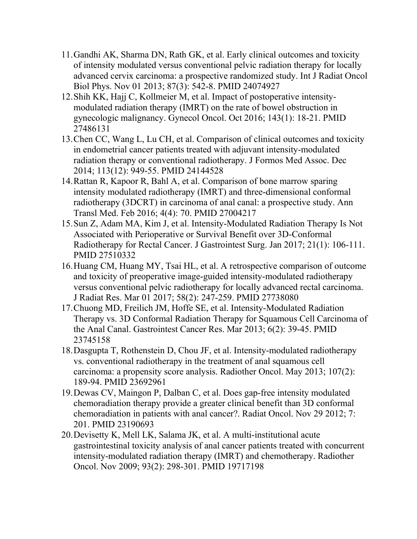- 11.Gandhi AK, Sharma DN, Rath GK, et al. Early clinical outcomes and toxicity of intensity modulated versus conventional pelvic radiation therapy for locally advanced cervix carcinoma: a prospective randomized study. Int J Radiat Oncol Biol Phys. Nov 01 2013; 87(3): 542-8. PMID 24074927
- 12.Shih KK, Hajj C, Kollmeier M, et al. Impact of postoperative intensitymodulated radiation therapy (IMRT) on the rate of bowel obstruction in gynecologic malignancy. Gynecol Oncol. Oct 2016; 143(1): 18-21. PMID 27486131
- 13.Chen CC, Wang L, Lu CH, et al. Comparison of clinical outcomes and toxicity in endometrial cancer patients treated with adjuvant intensity-modulated radiation therapy or conventional radiotherapy. J Formos Med Assoc. Dec 2014; 113(12): 949-55. PMID 24144528
- 14.Rattan R, Kapoor R, Bahl A, et al. Comparison of bone marrow sparing intensity modulated radiotherapy (IMRT) and three-dimensional conformal radiotherapy (3DCRT) in carcinoma of anal canal: a prospective study. Ann Transl Med. Feb 2016; 4(4): 70. PMID 27004217
- 15.Sun Z, Adam MA, Kim J, et al. Intensity-Modulated Radiation Therapy Is Not Associated with Perioperative or Survival Benefit over 3D-Conformal Radiotherapy for Rectal Cancer. J Gastrointest Surg. Jan 2017; 21(1): 106-111. PMID 27510332
- 16.Huang CM, Huang MY, Tsai HL, et al. A retrospective comparison of outcome and toxicity of preoperative image-guided intensity-modulated radiotherapy versus conventional pelvic radiotherapy for locally advanced rectal carcinoma. J Radiat Res. Mar 01 2017; 58(2): 247-259. PMID 27738080
- 17.Chuong MD, Freilich JM, Hoffe SE, et al. Intensity-Modulated Radiation Therapy vs. 3D Conformal Radiation Therapy for Squamous Cell Carcinoma of the Anal Canal. Gastrointest Cancer Res. Mar 2013; 6(2): 39-45. PMID 23745158
- 18.Dasgupta T, Rothenstein D, Chou JF, et al. Intensity-modulated radiotherapy vs. conventional radiotherapy in the treatment of anal squamous cell carcinoma: a propensity score analysis. Radiother Oncol. May 2013; 107(2): 189-94. PMID 23692961
- 19.Dewas CV, Maingon P, Dalban C, et al. Does gap-free intensity modulated chemoradiation therapy provide a greater clinical benefit than 3D conformal chemoradiation in patients with anal cancer?. Radiat Oncol. Nov 29 2012; 7: 201. PMID 23190693
- 20.Devisetty K, Mell LK, Salama JK, et al. A multi-institutional acute gastrointestinal toxicity analysis of anal cancer patients treated with concurrent intensity-modulated radiation therapy (IMRT) and chemotherapy. Radiother Oncol. Nov 2009; 93(2): 298-301. PMID 19717198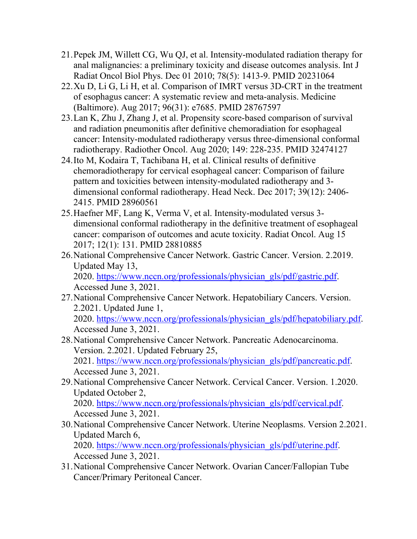- 21.Pepek JM, Willett CG, Wu QJ, et al. Intensity-modulated radiation therapy for anal malignancies: a preliminary toxicity and disease outcomes analysis. Int J Radiat Oncol Biol Phys. Dec 01 2010; 78(5): 1413-9. PMID 20231064
- 22.Xu D, Li G, Li H, et al. Comparison of IMRT versus 3D-CRT in the treatment of esophagus cancer: A systematic review and meta-analysis. Medicine (Baltimore). Aug 2017; 96(31): e7685. PMID 28767597
- 23.Lan K, Zhu J, Zhang J, et al. Propensity score-based comparison of survival and radiation pneumonitis after definitive chemoradiation for esophageal cancer: Intensity-modulated radiotherapy versus three-dimensional conformal radiotherapy. Radiother Oncol. Aug 2020; 149: 228-235. PMID 32474127
- 24.Ito M, Kodaira T, Tachibana H, et al. Clinical results of definitive chemoradiotherapy for cervical esophageal cancer: Comparison of failure pattern and toxicities between intensity-modulated radiotherapy and 3 dimensional conformal radiotherapy. Head Neck. Dec 2017; 39(12): 2406- 2415. PMID 28960561
- 25.Haefner MF, Lang K, Verma V, et al. Intensity-modulated versus 3 dimensional conformal radiotherapy in the definitive treatment of esophageal cancer: comparison of outcomes and acute toxicity. Radiat Oncol. Aug 15 2017; 12(1): 131. PMID 28810885
- 26.National Comprehensive Cancer Network. Gastric Cancer. Version. 2.2019. Updated May 13,

2020. [https://www.nccn.org/professionals/physician\\_gls/pdf/gastric.pdf.](https://www.nccn.org/professionals/physician_gls/pdf/gastric.pdf) Accessed June 3, 2021.

- 27.National Comprehensive Cancer Network. Hepatobiliary Cancers. Version. 2.2021. Updated June 1, 2020. [https://www.nccn.org/professionals/physician\\_gls/pdf/hepatobiliary.pdf.](https://www.nccn.org/professionals/physician_gls/pdf/hepatobiliary.pdf) Accessed June 3, 2021.
- 28.National Comprehensive Cancer Network. Pancreatic Adenocarcinoma. Version. 2.2021. Updated February 25, 2021. [https://www.nccn.org/professionals/physician\\_gls/pdf/pancreatic.pdf.](https://www.nccn.org/professionals/physician_gls/pdf/pancreatic.pdf) Accessed June 3, 2021.
- 29.National Comprehensive Cancer Network. Cervical Cancer. Version. 1.2020. Updated October 2, 2020. [https://www.nccn.org/professionals/physician\\_gls/pdf/cervical.pdf.](https://www.nccn.org/professionals/physician_gls/pdf/cervical.pdf)
- Accessed June 3, 2021. 30.National Comprehensive Cancer Network. Uterine Neoplasms. Version 2.2021. Updated March 6, 2020. [https://www.nccn.org/professionals/physician\\_gls/pdf/uterine.pdf.](https://www.nccn.org/professionals/physician_gls/pdf/uterine.pdf) Accessed June 3, 2021.
- 31.National Comprehensive Cancer Network. Ovarian Cancer/Fallopian Tube Cancer/Primary Peritoneal Cancer.